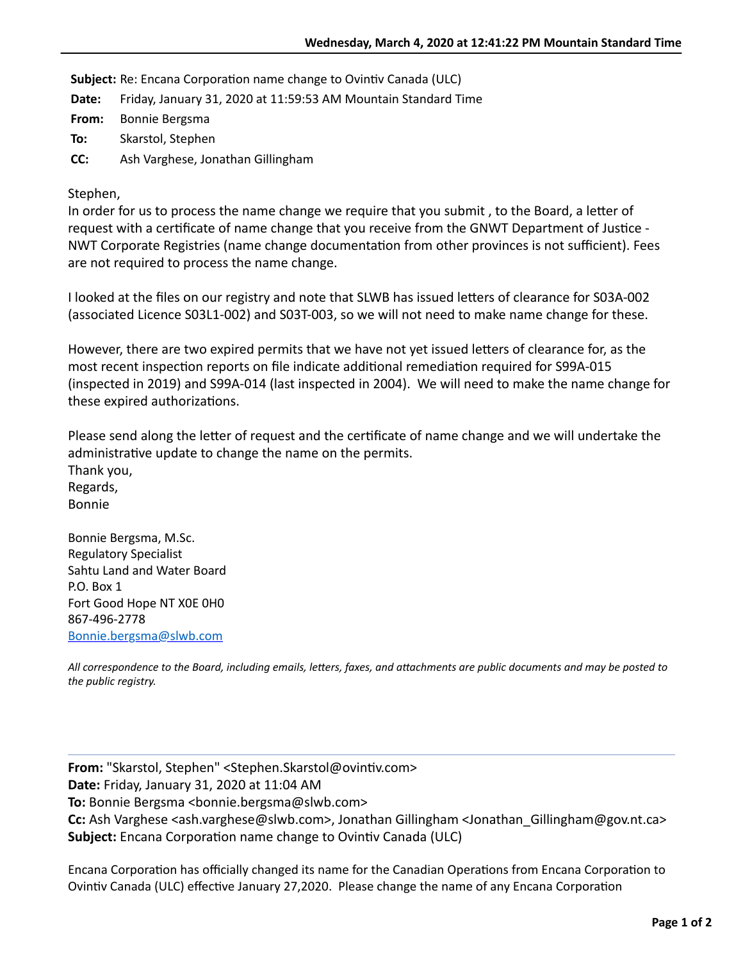**Subject:** Re: Encana Corporation name change to Ovintiv Canada (ULC)

**Date:** Friday, January 31, 2020 at 11:59:53 AM Mountain Standard Time

**From:** Bonnie Bergsma

**To:** Skarstol, Stephen

**CC:** Ash Varghese, Jonathan Gillingham

Stephen,

In order for us to process the name change we require that you submit, to the Board, a letter of request with a certificate of name change that you receive from the GNWT Department of Justice -NWT Corporate Registries (name change documentation from other provinces is not sufficient). Fees are not required to process the name change.

I looked at the files on our registry and note that SLWB has issued letters of clearance for S03A-002 (associated Licence S03L1-002) and S03T-003, so we will not need to make name change for these.

However, there are two expired permits that we have not yet issued letters of clearance for, as the most recent inspection reports on file indicate additional remediation required for S99A-015 (inspected in 2019) and S99A-014 (last inspected in 2004). We will need to make the name change for these expired authorizations.

Please send along the letter of request and the certificate of name change and we will undertake the administrative update to change the name on the permits. Thank you, Regards, Bonnie

Bonnie Bergsma, M.Sc. Regulatory Specialist Sahtu Land and Water Board P.O. Box 1 Fort Good Hope NT X0E 0H0 867-496-2778 [Bonnie.bergsma@slwb.com](mailto:Bonnie.bergsma@slwb.com)

All correspondence to the Board, including emails, letters, faxes, and attachments are public documents and may be posted to *the public registry.*

**From:** "Skarstol, Stephen" <Stephen.Skarstol@ovintiv.com> **Date:** Friday, January 31, 2020 at 11:04 AM **To:** Bonnie Bergsma <bonnie.bergsma@slwb.com> **Cc:** Ash Varghese <ash.varghese@slwb.com>, Jonathan Gillingham <Jonathan\_Gillingham@gov.nt.ca> **Subject:** Encana Corporation name change to Ovintiv Canada (ULC)

Encana Corporation has officially changed its name for the Canadian Operations from Encana Corporation to Ovintiv Canada (ULC) effective January 27,2020. Please change the name of any Encana Corporation